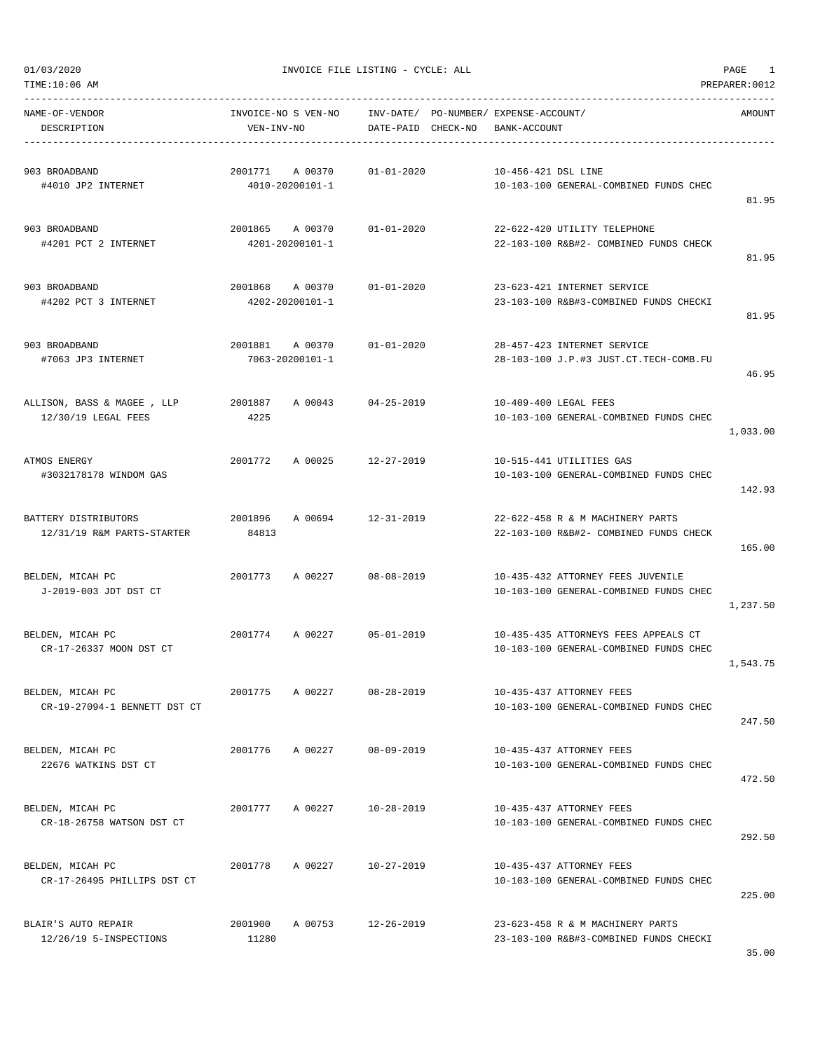$01/03/2020$  PAGE 1

| TIME:10:06 AM                                      |                                       |                                    |                                                                                | PREPARER: 0012 |
|----------------------------------------------------|---------------------------------------|------------------------------------|--------------------------------------------------------------------------------|----------------|
| NAME-OF-VENDOR<br>DESCRIPTION                      | INVOICE-NO S VEN-NO<br>VEN-INV-NO     | INV-DATE/<br>DATE-PAID<br>CHECK-NO | PO-NUMBER/ EXPENSE-ACCOUNT/<br>BANK-ACCOUNT                                    | AMOUNT         |
| 903 BROADBAND<br>#4010 JP2 INTERNET                | 2001771<br>A 00370<br>4010-20200101-1 | $01 - 01 - 2020$                   | 10-456-421 DSL LINE<br>10-103-100 GENERAL-COMBINED FUNDS CHEC                  | 81.95          |
| 903 BROADBAND<br>#4201 PCT 2 INTERNET              | 2001865<br>A 00370<br>4201-20200101-1 | $01 - 01 - 2020$                   | 22-622-420 UTILITY TELEPHONE<br>22-103-100 R&B#2- COMBINED FUNDS CHECK         | 81.95          |
| 903 BROADBAND<br>#4202 PCT 3 INTERNET              | 2001868<br>A 00370<br>4202-20200101-1 | $01 - 01 - 2020$                   | 23-623-421 INTERNET SERVICE<br>23-103-100 R&B#3-COMBINED FUNDS CHECKI          | 81.95          |
| 903 BROADBAND<br>#7063 JP3 INTERNET                | 2001881<br>A 00370<br>7063-20200101-1 | $01 - 01 - 2020$                   | 28-457-423 INTERNET SERVICE<br>28-103-100 J.P.#3 JUST.CT.TECH-COMB.FU          | 46.95          |
| ALLISON, BASS & MAGEE, LLP<br>12/30/19 LEGAL FEES  | 2001887<br>A 00043<br>4225            | $04 - 25 - 2019$                   | 10-409-400 LEGAL FEES<br>10-103-100 GENERAL-COMBINED FUNDS CHEC                | 1,033.00       |
| ATMOS ENERGY<br>#3032178178 WINDOM GAS             | 2001772<br>A 00025                    | $12 - 27 - 2019$                   | 10-515-441 UTILITIES GAS<br>10-103-100 GENERAL-COMBINED FUNDS CHEC             | 142.93         |
| BATTERY DISTRIBUTORS<br>12/31/19 R&M PARTS-STARTER | 2001896<br>A 00694<br>84813           | $12 - 31 - 2019$                   | 22-622-458 R & M MACHINERY PARTS<br>22-103-100 R&B#2- COMBINED FUNDS CHECK     | 165.00         |
| BELDEN, MICAH PC<br>J-2019-003 JDT DST CT          | 2001773<br>A 00227                    | $08 - 08 - 2019$                   | 10-435-432 ATTORNEY FEES JUVENILE<br>10-103-100 GENERAL-COMBINED FUNDS CHEC    | 1,237.50       |
| BELDEN, MICAH PC<br>CR-17-26337 MOON DST CT        | 2001774<br>A 00227                    | $05 - 01 - 2019$                   | 10-435-435 ATTORNEYS FEES APPEALS CT<br>10-103-100 GENERAL-COMBINED FUNDS CHEC | 1,543.75       |
| BELDEN, MICAH PC<br>CR-19-27094-1 BENNETT DST CT   | 2001775<br>A 00227                    | $08 - 28 - 2019$                   | 10-435-437 ATTORNEY FEES<br>10-103-100 GENERAL-COMBINED FUNDS CHEC             | 247.50         |
| BELDEN, MICAH PC<br>22676 WATKINS DST CT           | 2001776<br>A 00227                    | $08 - 09 - 2019$                   | 10-435-437 ATTORNEY FEES<br>10-103-100 GENERAL-COMBINED FUNDS CHEC             | 472.50         |
| BELDEN, MICAH PC<br>CR-18-26758 WATSON DST CT      | 2001777<br>A 00227                    | $10 - 28 - 2019$                   | 10-435-437 ATTORNEY FEES<br>10-103-100 GENERAL-COMBINED FUNDS CHEC             | 292.50         |
| BELDEN, MICAH PC<br>CR-17-26495 PHILLIPS DST CT    | A 00227<br>2001778                    | 10-27-2019                         | 10-435-437 ATTORNEY FEES<br>10-103-100 GENERAL-COMBINED FUNDS CHEC             | 225.00         |
| BLAIR'S AUTO REPAIR<br>12/26/19 5-INSPECTIONS      | A 00753<br>2001900<br>11280           | $12 - 26 - 2019$                   | 23-623-458 R & M MACHINERY PARTS<br>23-103-100 R&B#3-COMBINED FUNDS CHECKI     |                |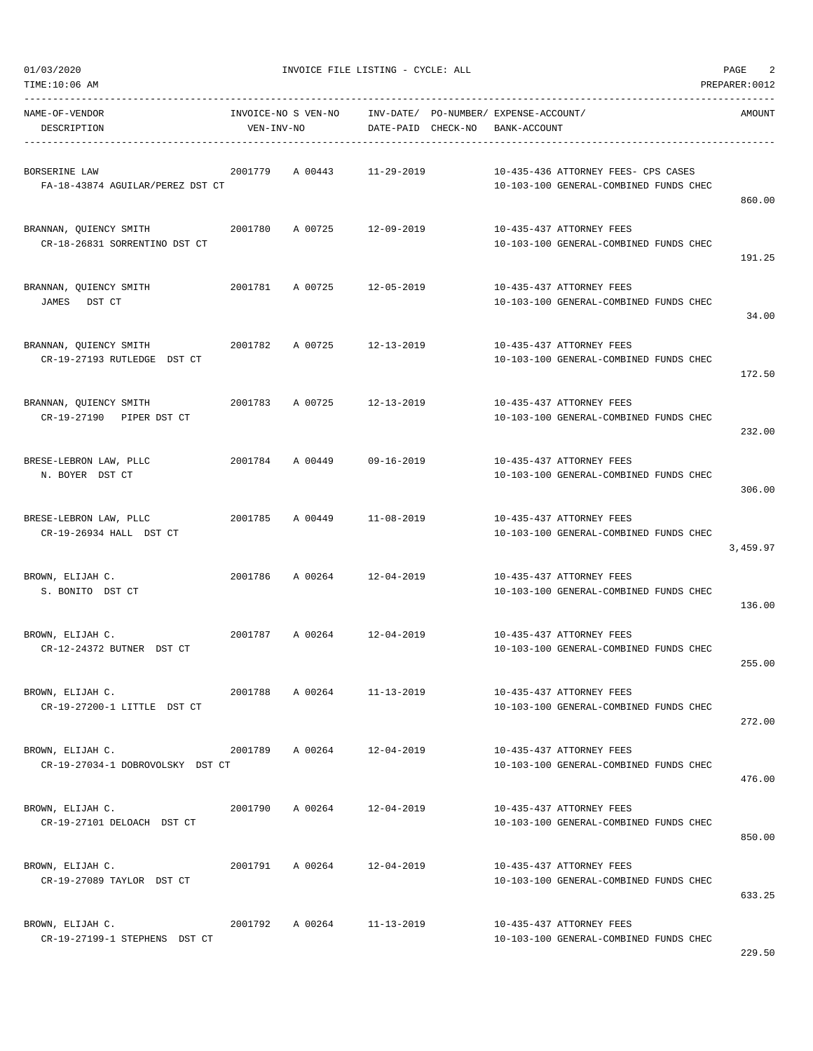| NAME-OF-VENDOR<br>DESCRIPTION                           | VEN-INV-NO |                 | DATE-PAID CHECK-NO         | INVOICE-NO S VEN-NO INV-DATE/ PO-NUMBER/ EXPENSE-ACCOUNT/<br>BANK-ACCOUNT     | AMOUNT   |
|---------------------------------------------------------|------------|-----------------|----------------------------|-------------------------------------------------------------------------------|----------|
| BORSERINE LAW<br>FA-18-43874 AGUILAR/PEREZ DST CT       |            |                 | 2001779 A 00443 11-29-2019 | 10-435-436 ATTORNEY FEES- CPS CASES<br>10-103-100 GENERAL-COMBINED FUNDS CHEC | 860.00   |
| BRANNAN, QUIENCY SMITH<br>CR-18-26831 SORRENTINO DST CT |            |                 | 2001780 A 00725 12-09-2019 | 10-435-437 ATTORNEY FEES<br>10-103-100 GENERAL-COMBINED FUNDS CHEC            | 191.25   |
| BRANNAN, QUIENCY SMITH<br>JAMES<br>DST CT               |            |                 | 2001781 A 00725 12-05-2019 | 10-435-437 ATTORNEY FEES<br>10-103-100 GENERAL-COMBINED FUNDS CHEC            | 34.00    |
| BRANNAN, QUIENCY SMITH<br>CR-19-27193 RUTLEDGE DST CT   |            |                 | 2001782 A 00725 12-13-2019 | 10-435-437 ATTORNEY FEES<br>10-103-100 GENERAL-COMBINED FUNDS CHEC            | 172.50   |
| BRANNAN, QUIENCY SMITH<br>CR-19-27190 PIPER DST CT      |            |                 | 2001783 A 00725 12-13-2019 | 10-435-437 ATTORNEY FEES<br>10-103-100 GENERAL-COMBINED FUNDS CHEC            | 232.00   |
| BRESE-LEBRON LAW, PLLC<br>N. BOYER DST CT               |            |                 | 2001784 A 00449 09-16-2019 | 10-435-437 ATTORNEY FEES<br>10-103-100 GENERAL-COMBINED FUNDS CHEC            | 306.00   |
| BRESE-LEBRON LAW, PLLC<br>CR-19-26934 HALL DST CT       |            |                 | 2001785 A 00449 11-08-2019 | 10-435-437 ATTORNEY FEES<br>10-103-100 GENERAL-COMBINED FUNDS CHEC            | 3,459.97 |
| BROWN, ELIJAH C.<br>S. BONITO DST CT                    |            |                 | 2001786 A 00264 12-04-2019 | 10-435-437 ATTORNEY FEES<br>10-103-100 GENERAL-COMBINED FUNDS CHEC            | 136.00   |
| BROWN, ELIJAH C.<br>CR-12-24372 BUTNER DST CT           |            |                 | 2001787 A 00264 12-04-2019 | 10-435-437 ATTORNEY FEES<br>10-103-100 GENERAL-COMBINED FUNDS CHEC            | 255.00   |
| BROWN, ELIJAH C.<br>CR-19-27200-1 LITTLE DST CT         | 2001788    | A 00264         | $11 - 13 - 2019$           | 10-435-437 ATTORNEY FEES<br>10-103-100 GENERAL-COMBINED FUNDS CHEC            | 272.00   |
| BROWN, ELIJAH C.<br>CR-19-27034-1 DOBROVOLSKY DST CT    |            | 2001789 A 00264 | 12-04-2019                 | 10-435-437 ATTORNEY FEES<br>10-103-100 GENERAL-COMBINED FUNDS CHEC            | 476.00   |
| BROWN, ELIJAH C.<br>CR-19-27101 DELOACH DST CT          |            |                 | 2001790 A 00264 12-04-2019 | 10-435-437 ATTORNEY FEES<br>10-103-100 GENERAL-COMBINED FUNDS CHEC            | 850.00   |
| BROWN, ELIJAH C.<br>CR-19-27089 TAYLOR DST CT           |            |                 | 2001791 A 00264 12-04-2019 | 10-435-437 ATTORNEY FEES<br>10-103-100 GENERAL-COMBINED FUNDS CHEC            | 633.25   |
| BROWN, ELIJAH C.<br>CR-19-27199-1 STEPHENS DST CT       |            |                 | 2001792 A 00264 11-13-2019 | 10-435-437 ATTORNEY FEES<br>10-103-100 GENERAL-COMBINED FUNDS CHEC            |          |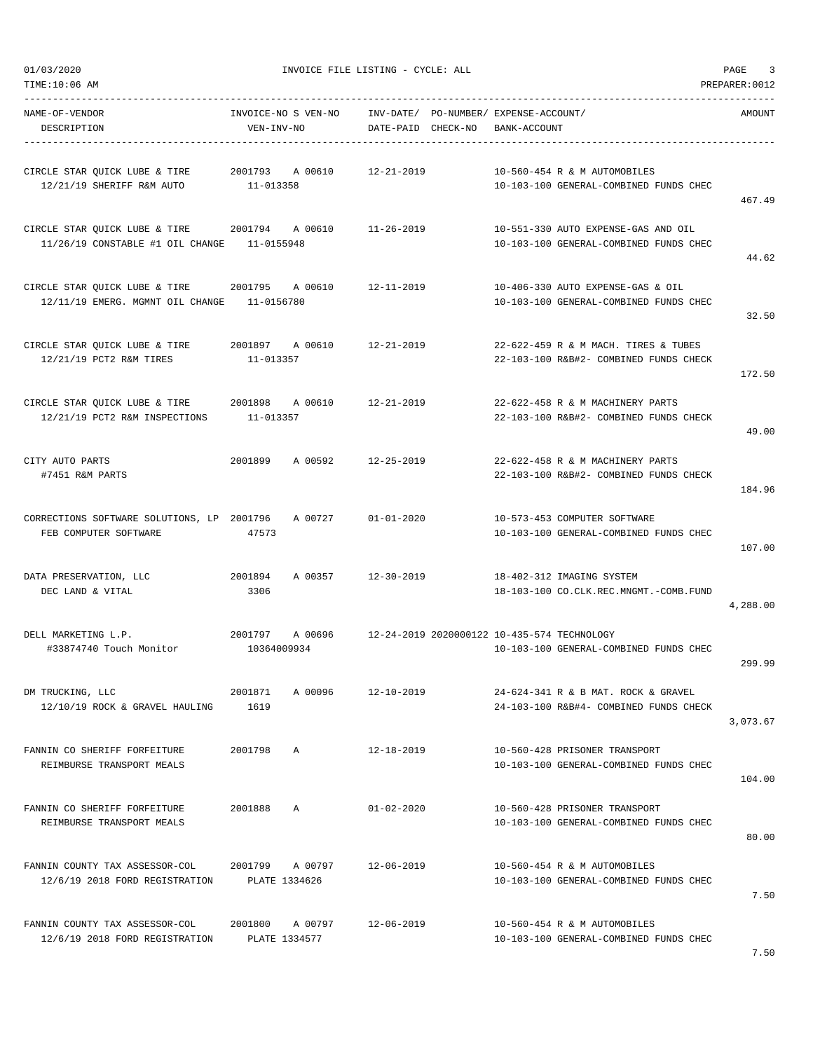| TIME:10:06 AM                                                                                |                                   |                                                             |                                                                                               | PREPARER: 0012 |
|----------------------------------------------------------------------------------------------|-----------------------------------|-------------------------------------------------------------|-----------------------------------------------------------------------------------------------|----------------|
| NAME-OF-VENDOR<br>DESCRIPTION                                                                | INVOICE-NO S VEN-NO<br>VEN-INV-NO | INV-DATE/ PO-NUMBER/ EXPENSE-ACCOUNT/<br>DATE-PAID CHECK-NO | BANK-ACCOUNT                                                                                  | AMOUNT         |
| CIRCLE STAR QUICK LUBE & TIRE<br>12/21/19 SHERIFF R&M AUTO                                   | 2001793 A 00610<br>11-013358      | 12-21-2019                                                  | 10-560-454 R & M AUTOMOBILES<br>10-103-100 GENERAL-COMBINED FUNDS CHEC                        | 467.49         |
| CIRCLE STAR QUICK LUBE & TIRE 2001794 A 00610<br>11/26/19 CONSTABLE #1 OIL CHANGE 11-0155948 |                                   | 11-26-2019                                                  | 10-551-330 AUTO EXPENSE-GAS AND OIL<br>10-103-100 GENERAL-COMBINED FUNDS CHEC                 | 44.62          |
| CIRCLE STAR QUICK LUBE & TIRE<br>12/11/19 EMERG. MGMNT OIL CHANGE 11-0156780                 | 2001795<br>A 00610                | 12-11-2019                                                  | 10-406-330 AUTO EXPENSE-GAS & OIL<br>10-103-100 GENERAL-COMBINED FUNDS CHEC                   | 32.50          |
| CIRCLE STAR QUICK LUBE & TIRE<br>12/21/19 PCT2 R&M TIRES                                     | 2001897 A 00610<br>11-013357      | 12-21-2019                                                  | 22-622-459 R & M MACH. TIRES & TUBES<br>22-103-100 R&B#2- COMBINED FUNDS CHECK                | 172.50         |
| CIRCLE STAR QUICK LUBE & TIRE 2001898<br>12/21/19 PCT2 R&M INSPECTIONS                       | A 00610<br>11-013357              | 12-21-2019                                                  | 22-622-458 R & M MACHINERY PARTS<br>22-103-100 R&B#2- COMBINED FUNDS CHECK                    | 49.00          |
| CITY AUTO PARTS<br>#7451 R&M PARTS                                                           | 2001899 A 00592                   | 12-25-2019                                                  | 22-622-458 R & M MACHINERY PARTS<br>22-103-100 R&B#2- COMBINED FUNDS CHECK                    | 184.96         |
| CORRECTIONS SOFTWARE SOLUTIONS, LP 2001796<br>FEB COMPUTER SOFTWARE                          | A 00727<br>47573                  | $01 - 01 - 2020$                                            | 10-573-453 COMPUTER SOFTWARE<br>10-103-100 GENERAL-COMBINED FUNDS CHEC                        | 107.00         |
| DATA PRESERVATION, LLC<br>DEC LAND & VITAL                                                   | 2001894<br>A 00357<br>3306        | 12-30-2019                                                  | 18-402-312 IMAGING SYSTEM<br>18-103-100 CO.CLK.REC.MNGMT.-COMB.FUND                           | 4,288.00       |
| DELL MARKETING L.P.<br>#33874740 Touch Monitor                                               | 2001797<br>10364009934            |                                                             | A 00696 12-24-2019 2020000122 10-435-574 TECHNOLOGY<br>10-103-100 GENERAL-COMBINED FUNDS CHEC | 299.99         |
| DM TRUCKING, LLC<br>12/10/19 ROCK & GRAVEL HAULING                                           | A 00096<br>2001871<br>1619        | $12 - 10 - 2019$                                            | 24-624-341 R & B MAT. ROCK & GRAVEL<br>24-103-100 R&B#4- COMBINED FUNDS CHECK                 | 3,073.67       |
| FANNIN CO SHERIFF FORFEITURE<br>REIMBURSE TRANSPORT MEALS                                    | 2001798<br>A                      | $12 - 18 - 2019$                                            | 10-560-428 PRISONER TRANSPORT<br>10-103-100 GENERAL-COMBINED FUNDS CHEC                       | 104.00         |
| FANNIN CO SHERIFF FORFEITURE<br>REIMBURSE TRANSPORT MEALS                                    | 2001888<br>Α                      | $01 - 02 - 2020$                                            | 10-560-428 PRISONER TRANSPORT<br>10-103-100 GENERAL-COMBINED FUNDS CHEC                       | 80.00          |
| FANNIN COUNTY TAX ASSESSOR-COL<br>12/6/19 2018 FORD REGISTRATION                             | 2001799 A 00797<br>PLATE 1334626  | 12-06-2019                                                  | 10-560-454 R & M AUTOMOBILES<br>10-103-100 GENERAL-COMBINED FUNDS CHEC                        | 7.50           |
| FANNIN COUNTY TAX ASSESSOR-COL<br>12/6/19 2018 FORD REGISTRATION                             | 2001800 A 00797<br>PLATE 1334577  | 12-06-2019                                                  | 10-560-454 R & M AUTOMOBILES<br>10-103-100 GENERAL-COMBINED FUNDS CHEC                        |                |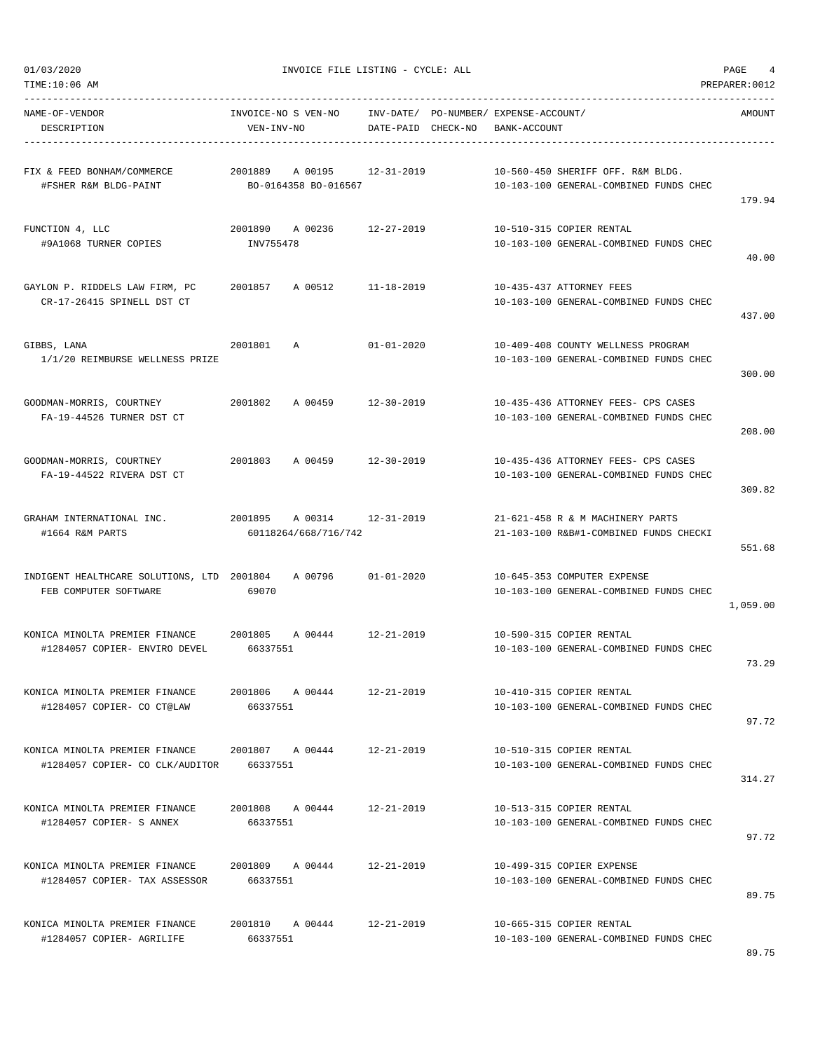| 01/03/2020<br>TIME:10:06 AM                                             | INVOICE FILE LISTING - CYCLE: ALL                     |                                                             |                                                                               |          |  |  |  |
|-------------------------------------------------------------------------|-------------------------------------------------------|-------------------------------------------------------------|-------------------------------------------------------------------------------|----------|--|--|--|
| NAME-OF-VENDOR<br>DESCRIPTION                                           | INVOICE-NO S VEN-NO<br>VEN-INV-NO                     | INV-DATE/ PO-NUMBER/ EXPENSE-ACCOUNT/<br>DATE-PAID CHECK-NO | BANK-ACCOUNT                                                                  | AMOUNT   |  |  |  |
| FIX & FEED BONHAM/COMMERCE<br>#FSHER R&M BLDG-PAINT                     | 2001889<br>A 00195 12-31-2019<br>BO-0164358 BO-016567 |                                                             | 10-560-450 SHERIFF OFF. R&M BLDG.<br>10-103-100 GENERAL-COMBINED FUNDS CHEC   | 179.94   |  |  |  |
| FUNCTION 4, LLC<br>#9A1068 TURNER COPIES                                | 2001890 A 00236 12-27-2019<br>INV755478               |                                                             | 10-510-315 COPIER RENTAL<br>10-103-100 GENERAL-COMBINED FUNDS CHEC            | 40.00    |  |  |  |
| GAYLON P. RIDDELS LAW FIRM, PC<br>CR-17-26415 SPINELL DST CT            | 2001857<br>A 00512                                    | $11 - 18 - 2019$                                            | 10-435-437 ATTORNEY FEES<br>10-103-100 GENERAL-COMBINED FUNDS CHEC            | 437.00   |  |  |  |
| GIBBS, LANA<br>1/1/20 REIMBURSE WELLNESS PRIZE                          | 2001801<br>Α                                          | $01 - 01 - 2020$                                            | 10-409-408 COUNTY WELLNESS PROGRAM<br>10-103-100 GENERAL-COMBINED FUNDS CHEC  | 300.00   |  |  |  |
| GOODMAN-MORRIS, COURTNEY<br>FA-19-44526 TURNER DST CT                   | A 00459<br>2001802                                    | 12-30-2019                                                  | 10-435-436 ATTORNEY FEES- CPS CASES<br>10-103-100 GENERAL-COMBINED FUNDS CHEC | 208.00   |  |  |  |
| GOODMAN-MORRIS, COURTNEY<br>FA-19-44522 RIVERA DST CT                   | 2001803<br>A 00459                                    | 12-30-2019                                                  | 10-435-436 ATTORNEY FEES- CPS CASES<br>10-103-100 GENERAL-COMBINED FUNDS CHEC | 309.82   |  |  |  |
| GRAHAM INTERNATIONAL INC.<br>#1664 R&M PARTS                            | 2001895<br>A 00314 12-31-2019<br>60118264/668/716/742 |                                                             | 21-621-458 R & M MACHINERY PARTS<br>21-103-100 R&B#1-COMBINED FUNDS CHECKI    | 551.68   |  |  |  |
| INDIGENT HEALTHCARE SOLUTIONS, LTD 2001804<br>FEB COMPUTER SOFTWARE     | A 00796<br>69070                                      | $01 - 01 - 2020$                                            | 10-645-353 COMPUTER EXPENSE<br>10-103-100 GENERAL-COMBINED FUNDS CHEC         | 1,059.00 |  |  |  |
| KONICA MINOLTA PREMIER FINANCE 2001805<br>#1284057 COPIER- ENVIRO DEVEL | A 00444<br>66337551                                   | 12-21-2019                                                  | 10-590-315 COPIER RENTAL<br>10-103-100 GENERAL-COMBINED FUNDS CHEC            | 73.29    |  |  |  |
| KONICA MINOLTA PREMIER FINANCE<br>#1284057 COPIER- CO CT@LAW            | 2001806 A 00444<br>66337551                           | $12 - 21 - 2019$                                            | 10-410-315 COPIER RENTAL<br>10-103-100 GENERAL-COMBINED FUNDS CHEC            | 97.72    |  |  |  |
| KONICA MINOLTA PREMIER FINANCE<br>#1284057 COPIER- CO CLK/AUDITOR       | 2001807 A 00444<br>66337551                           | $12 - 21 - 2019$                                            | 10-510-315 COPIER RENTAL<br>10-103-100 GENERAL-COMBINED FUNDS CHEC            | 314.27   |  |  |  |
| KONICA MINOLTA PREMIER FINANCE<br>#1284057 COPIER- S ANNEX              | 2001808 A 00444<br>66337551                           | $12 - 21 - 2019$                                            | 10-513-315 COPIER RENTAL<br>10-103-100 GENERAL-COMBINED FUNDS CHEC            | 97.72    |  |  |  |
| KONICA MINOLTA PREMIER FINANCE<br>#1284057 COPIER- TAX ASSESSOR         | 2001809 A 00444<br>66337551                           | $12 - 21 - 2019$                                            | 10-499-315 COPIER EXPENSE<br>10-103-100 GENERAL-COMBINED FUNDS CHEC           | 89.75    |  |  |  |
| KONICA MINOLTA PREMIER FINANCE<br>#1284057 COPIER- AGRILIFE             | 2001810 A 00444<br>66337551                           | $12 - 21 - 2019$                                            | 10-665-315 COPIER RENTAL<br>10-103-100 GENERAL-COMBINED FUNDS CHEC            |          |  |  |  |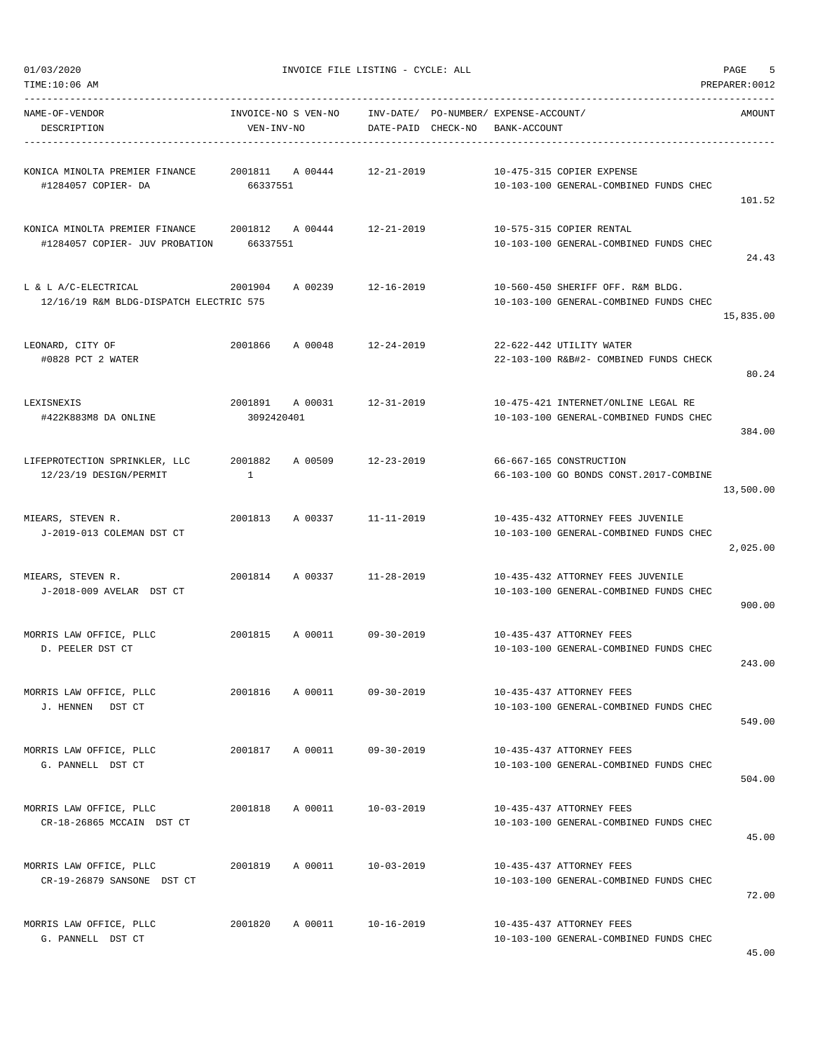|  | 01/03/2020 |
|--|------------|
|  |            |

-----------------------------------------------------------------------------------------------------------------------------------

| NAME-OF-VENDOR<br>DESCRIPTION                                                    | VEN-INV-NO   | INVOICE-NO S VEN-NO        |                  | INV-DATE/ PO-NUMBER/ EXPENSE-ACCOUNT/<br>DATE-PAID CHECK-NO BANK-ACCOUNT |                                                                             | AMOUNT    |
|----------------------------------------------------------------------------------|--------------|----------------------------|------------------|--------------------------------------------------------------------------|-----------------------------------------------------------------------------|-----------|
|                                                                                  |              |                            |                  |                                                                          |                                                                             |           |
| #1284057 COPIER- DA                                                              | 66337551     |                            |                  | 10-475-315 COPIER EXPENSE                                                | 10-103-100 GENERAL-COMBINED FUNDS CHEC                                      |           |
|                                                                                  |              |                            |                  |                                                                          |                                                                             | 101.52    |
| KONICA MINOLTA PREMIER FINANCE 2001812 A 00444<br>#1284057 COPIER- JUV PROBATION | 66337551     |                            | 12-21-2019       | 10-575-315 COPIER RENTAL                                                 | 10-103-100 GENERAL-COMBINED FUNDS CHEC                                      | 24.43     |
|                                                                                  |              |                            |                  |                                                                          |                                                                             |           |
| L & L A/C-ELECTRICAL<br>12/16/19 R&M BLDG-DISPATCH ELECTRIC 575                  |              | 2001904 A 00239 12-16-2019 |                  |                                                                          | 10-560-450 SHERIFF OFF. R&M BLDG.<br>10-103-100 GENERAL-COMBINED FUNDS CHEC | 15,835.00 |
| LEONARD, CITY OF                                                                 | 2001866      | A 00048 12-24-2019         |                  | 22-622-442 UTILITY WATER                                                 |                                                                             |           |
| #0828 PCT 2 WATER                                                                |              |                            |                  |                                                                          | 22-103-100 R&B#2- COMBINED FUNDS CHECK                                      | 80.24     |
| LEXISNEXIS                                                                       |              | 2001891 A 00031            | 12-31-2019       |                                                                          | 10-475-421 INTERNET/ONLINE LEGAL RE                                         |           |
| #422K883M8 DA ONLINE                                                             | 3092420401   |                            |                  |                                                                          | 10-103-100 GENERAL-COMBINED FUNDS CHEC                                      | 384.00    |
| LIFEPROTECTION SPRINKLER, LLC                                                    | 2001882      | A 00509                    | 12-23-2019       | 66-667-165 CONSTRUCTION                                                  |                                                                             |           |
| 12/23/19 DESIGN/PERMIT                                                           | $\mathbf{1}$ |                            |                  |                                                                          | 66-103-100 GO BONDS CONST.2017-COMBINE                                      | 13,500.00 |
| MIEARS, STEVEN R.                                                                |              | 2001813 A 00337            | $11 - 11 - 2019$ |                                                                          | 10-435-432 ATTORNEY FEES JUVENILE                                           |           |
| J-2019-013 COLEMAN DST CT                                                        |              |                            |                  |                                                                          | 10-103-100 GENERAL-COMBINED FUNDS CHEC                                      | 2,025.00  |
| MIEARS, STEVEN R.<br>J-2018-009 AVELAR DST CT                                    |              | 2001814 A 00337 11-28-2019 |                  |                                                                          | 10-435-432 ATTORNEY FEES JUVENILE<br>10-103-100 GENERAL-COMBINED FUNDS CHEC | 900.00    |
|                                                                                  |              |                            |                  |                                                                          |                                                                             |           |
| MORRIS LAW OFFICE, PLLC<br>D. PEELER DST CT                                      | 2001815      | A 00011                    | $09 - 30 - 2019$ | 10-435-437 ATTORNEY FEES                                                 | 10-103-100 GENERAL-COMBINED FUNDS CHEC                                      | 243.00    |
|                                                                                  |              |                            |                  |                                                                          |                                                                             |           |
| MORRIS LAW OFFICE, PLLC<br>J. HENNEN DST CT                                      |              |                            |                  | 2001816 A 00011 09-30-2019 10-435-437 ATTORNEY FEES                      | 10-103-100 GENERAL-COMBINED FUNDS CHEC                                      |           |
|                                                                                  |              |                            |                  |                                                                          |                                                                             | 549.00    |
| MORRIS LAW OFFICE, PLLC                                                          |              | 2001817 A 00011            | $09 - 30 - 2019$ | 10-435-437 ATTORNEY FEES                                                 |                                                                             |           |
| G. PANNELL DST CT                                                                |              |                            |                  |                                                                          | 10-103-100 GENERAL-COMBINED FUNDS CHEC                                      | 504.00    |
| MORRIS LAW OFFICE, PLLC                                                          | 2001818      | A 00011                    | $10 - 03 - 2019$ | 10-435-437 ATTORNEY FEES                                                 |                                                                             |           |
| CR-18-26865 MCCAIN DST CT                                                        |              |                            |                  |                                                                          | 10-103-100 GENERAL-COMBINED FUNDS CHEC                                      | 45.00     |
| MORRIS LAW OFFICE, PLLC                                                          | 2001819      | A 00011                    | $10 - 03 - 2019$ | 10-435-437 ATTORNEY FEES                                                 |                                                                             |           |
| CR-19-26879 SANSONE DST CT                                                       |              |                            |                  |                                                                          | 10-103-100 GENERAL-COMBINED FUNDS CHEC                                      | 72.00     |
| MORRIS LAW OFFICE, PLLC                                                          | 2001820      | A 00011                    | $10 - 16 - 2019$ | 10-435-437 ATTORNEY FEES                                                 |                                                                             |           |
| G. PANNELL DST CT                                                                |              |                            |                  |                                                                          | 10-103-100 GENERAL-COMBINED FUNDS CHEC                                      |           |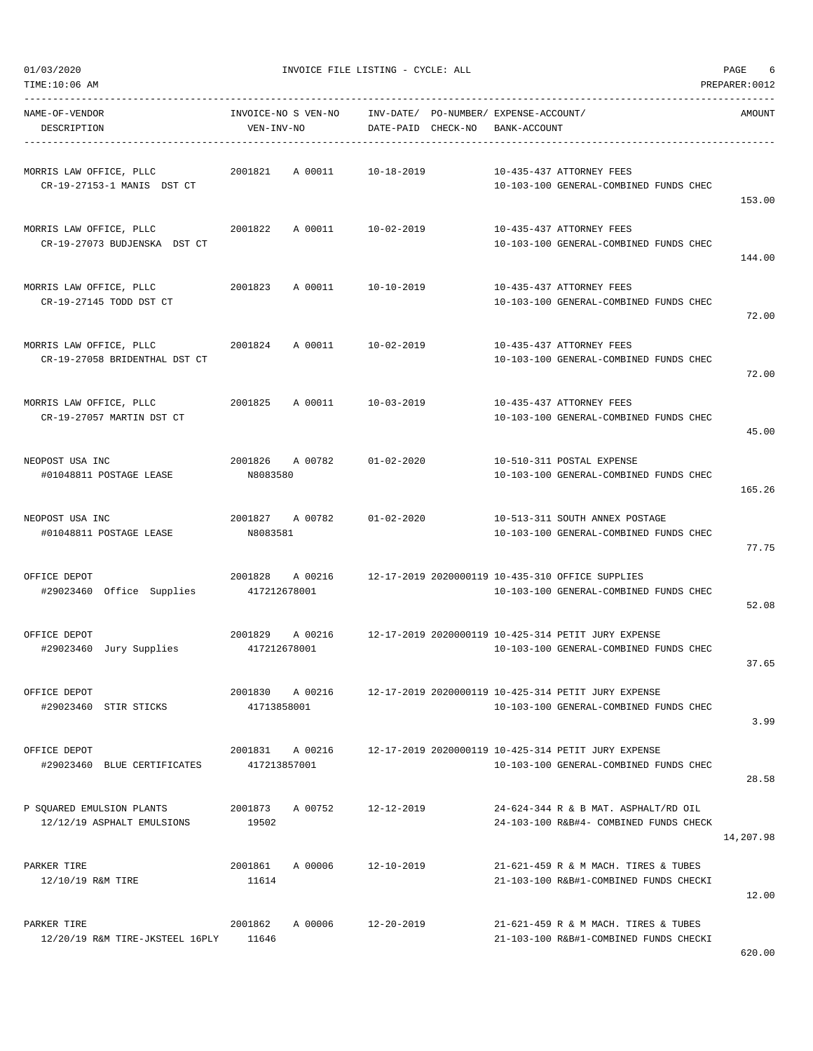| NAME-OF-VENDOR<br>DESCRIPTION                            | INVOICE-NO S VEN-NO<br>VEN-INV-NO |         | DATE-PAID CHECK-NO | INV-DATE/ PO-NUMBER/ EXPENSE-ACCOUNT/ | BANK-ACCOUNT |                                                                                                       | AMOUNT    |
|----------------------------------------------------------|-----------------------------------|---------|--------------------|---------------------------------------|--------------|-------------------------------------------------------------------------------------------------------|-----------|
| MORRIS LAW OFFICE, PLLC<br>CR-19-27153-1 MANIS DST CT    | 2001821                           | A 00011 | 10-18-2019         |                                       |              | 10-435-437 ATTORNEY FEES<br>10-103-100 GENERAL-COMBINED FUNDS CHEC                                    | 153.00    |
| MORRIS LAW OFFICE, PLLC<br>CR-19-27073 BUDJENSKA DST CT  | 2001822                           | A 00011 | 10-02-2019         |                                       |              | 10-435-437 ATTORNEY FEES<br>10-103-100 GENERAL-COMBINED FUNDS CHEC                                    | 144.00    |
| MORRIS LAW OFFICE, PLLC<br>CR-19-27145 TODD DST CT       | 2001823                           | A 00011 | 10-10-2019         |                                       |              | 10-435-437 ATTORNEY FEES<br>10-103-100 GENERAL-COMBINED FUNDS CHEC                                    | 72.00     |
| MORRIS LAW OFFICE, PLLC<br>CR-19-27058 BRIDENTHAL DST CT | 2001824                           | A 00011 | 10-02-2019         |                                       |              | 10-435-437 ATTORNEY FEES<br>10-103-100 GENERAL-COMBINED FUNDS CHEC                                    | 72.00     |
| MORRIS LAW OFFICE, PLLC<br>CR-19-27057 MARTIN DST CT     | 2001825                           | A 00011 | 10-03-2019         |                                       |              | 10-435-437 ATTORNEY FEES<br>10-103-100 GENERAL-COMBINED FUNDS CHEC                                    | 45.00     |
| NEOPOST USA INC<br>#01048811 POSTAGE LEASE               | 2001826<br>N8083580               | A 00782 | $01 - 02 - 2020$   |                                       |              | 10-510-311 POSTAL EXPENSE<br>10-103-100 GENERAL-COMBINED FUNDS CHEC                                   | 165.26    |
| NEOPOST USA INC<br>#01048811 POSTAGE LEASE               | 2001827 A 00782<br>N8083581       |         | $01 - 02 - 2020$   |                                       |              | 10-513-311 SOUTH ANNEX POSTAGE<br>10-103-100 GENERAL-COMBINED FUNDS CHEC                              | 77.75     |
| OFFICE DEPOT<br>#29023460 Office Supplies                | 2001828 A 00216<br>417212678001   |         |                    |                                       |              | 12-17-2019 2020000119 10-435-310 OFFICE SUPPLIES<br>10-103-100 GENERAL-COMBINED FUNDS CHEC            | 52.08     |
| OFFICE DEPOT<br>#29023460 Jury Supplies                  | 2001829<br>417212678001           |         |                    |                                       |              | A 00216 12-17-2019 2020000119 10-425-314 PETIT JURY EXPENSE<br>10-103-100 GENERAL-COMBINED FUNDS CHEC | 37.65     |
| OFFICE DEPOT<br>#29023460 STIR STICKS                    | 2001830<br>41713858001            | A 00216 |                    |                                       |              | 12-17-2019 2020000119 10-425-314 PETIT JURY EXPENSE<br>10-103-100 GENERAL-COMBINED FUNDS CHEC         | 3.99      |
| OFFICE DEPOT<br>#29023460 BLUE CERTIFICATES              | 2001831<br>417213857001           | A 00216 |                    |                                       |              | 12-17-2019 2020000119 10-425-314 PETIT JURY EXPENSE<br>10-103-100 GENERAL-COMBINED FUNDS CHEC         | 28.58     |
| P SQUARED EMULSION PLANTS<br>12/12/19 ASPHALT EMULSIONS  | 2001873<br>19502                  | A 00752 | 12-12-2019         |                                       |              | 24-624-344 R & B MAT. ASPHALT/RD OIL<br>24-103-100 R&B#4- COMBINED FUNDS CHECK                        | 14,207.98 |
| PARKER TIRE<br>12/10/19 R&M TIRE                         | 2001861<br>11614                  | A 00006 | $12 - 10 - 2019$   |                                       |              | 21-621-459 R & M MACH. TIRES & TUBES<br>21-103-100 R&B#1-COMBINED FUNDS CHECKI                        | 12.00     |
| PARKER TIRE<br>12/20/19 R&M TIRE-JKSTEEL 16PLY           | 2001862<br>11646                  | A 00006 | $12 - 20 - 2019$   |                                       |              | 21-621-459 R & M MACH. TIRES & TUBES<br>21-103-100 R&B#1-COMBINED FUNDS CHECKI                        |           |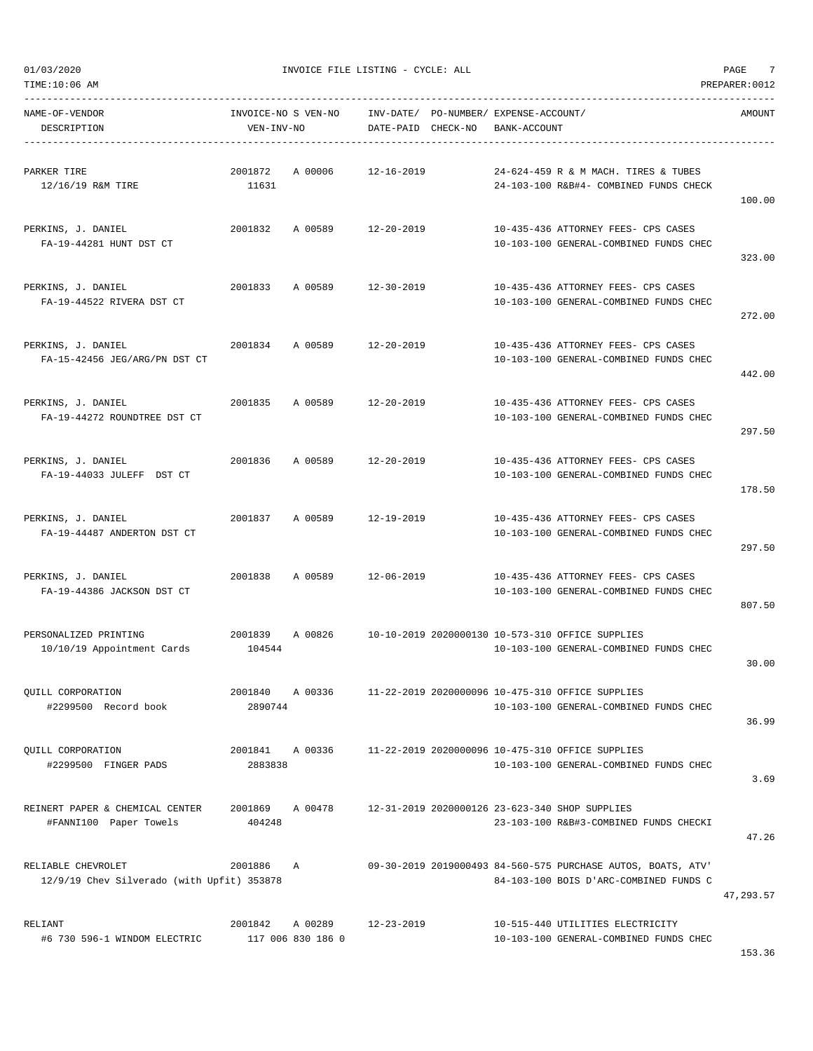| TIME:10:06 AM                                                    |                                   |                              |                                 |                                             |                                                                                                        | PREPARER: 0012 |
|------------------------------------------------------------------|-----------------------------------|------------------------------|---------------------------------|---------------------------------------------|--------------------------------------------------------------------------------------------------------|----------------|
| NAME-OF-VENDOR<br>DESCRIPTION                                    | INVOICE-NO S VEN-NO<br>VEN-INV-NO |                              | INV-DATE/<br>DATE-PAID CHECK-NO | PO-NUMBER/ EXPENSE-ACCOUNT/<br>BANK-ACCOUNT |                                                                                                        | AMOUNT         |
| PARKER TIRE<br>12/16/19 R&M TIRE                                 | 2001872<br>11631                  | A 00006                      | $12 - 16 - 2019$                |                                             | 24-624-459 R & M MACH. TIRES & TUBES<br>24-103-100 R&B#4- COMBINED FUNDS CHECK                         | 100.00         |
| PERKINS, J. DANIEL<br>FA-19-44281 HUNT DST CT                    | 2001832                           | A 00589                      | $12 - 20 - 2019$                |                                             | 10-435-436 ATTORNEY FEES- CPS CASES<br>10-103-100 GENERAL-COMBINED FUNDS CHEC                          | 323.00         |
| PERKINS, J. DANIEL<br>FA-19-44522 RIVERA DST CT                  | 2001833                           | A 00589                      | $12 - 30 - 2019$                |                                             | 10-435-436 ATTORNEY FEES- CPS CASES<br>10-103-100 GENERAL-COMBINED FUNDS CHEC                          | 272.00         |
| PERKINS, J. DANIEL<br>FA-15-42456 JEG/ARG/PN DST CT              | 2001834                           | A 00589                      | $12 - 20 - 2019$                |                                             | 10-435-436 ATTORNEY FEES- CPS CASES<br>10-103-100 GENERAL-COMBINED FUNDS CHEC                          | 442.00         |
| PERKINS, J. DANIEL<br>FA-19-44272 ROUNDTREE DST CT               | 2001835                           | A 00589                      | $12 - 20 - 2019$                |                                             | 10-435-436 ATTORNEY FEES- CPS CASES<br>10-103-100 GENERAL-COMBINED FUNDS CHEC                          | 297.50         |
| PERKINS, J. DANIEL<br>FA-19-44033 JULEFF DST CT                  | 2001836                           | A 00589                      | $12 - 20 - 2019$                |                                             | 10-435-436 ATTORNEY FEES- CPS CASES<br>10-103-100 GENERAL-COMBINED FUNDS CHEC                          | 178.50         |
| PERKINS, J. DANIEL<br>FA-19-44487 ANDERTON DST CT                | 2001837                           | A 00589                      | 12-19-2019                      |                                             | 10-435-436 ATTORNEY FEES- CPS CASES<br>10-103-100 GENERAL-COMBINED FUNDS CHEC                          | 297.50         |
| PERKINS, J. DANIEL<br>FA-19-44386 JACKSON DST CT                 | 2001838                           | A 00589                      | $12 - 06 - 2019$                |                                             | 10-435-436 ATTORNEY FEES- CPS CASES<br>10-103-100 GENERAL-COMBINED FUNDS CHEC                          | 807.50         |
| PERSONALIZED PRINTING<br>10/10/19 Appointment Cards              | 2001839<br>104544                 | A 00826                      |                                 |                                             | 10-10-2019 2020000130 10-573-310 OFFICE SUPPLIES<br>10-103-100 GENERAL-COMBINED FUNDS CHEC             | 30.00          |
| <b>OUILL CORPORATION</b><br>#2299500 Record book                 | 2001840<br>2890744                | A 00336                      |                                 |                                             | 11-22-2019 2020000096 10-475-310 OFFICE SUPPLIES<br>10-103-100 GENERAL-COMBINED FUNDS CHEC             | 36.99          |
| QUILL CORPORATION<br>#2299500 FINGER PADS                        | 2001841 A 00336<br>2883838        |                              |                                 |                                             | 11-22-2019 2020000096 10-475-310 OFFICE SUPPLIES<br>10-103-100 GENERAL-COMBINED FUNDS CHEC             | 3.69           |
| REINERT PAPER & CHEMICAL CENTER<br>#FANNI100 Paper Towels        | 2001869<br>404248                 | A 00478                      |                                 |                                             | 12-31-2019 2020000126 23-623-340 SHOP SUPPLIES<br>23-103-100 R&B#3-COMBINED FUNDS CHECKI               | 47.26          |
| RELIABLE CHEVROLET<br>12/9/19 Chev Silverado (with Upfit) 353878 | 2001886                           | A                            |                                 |                                             | 09-30-2019 2019000493 84-560-575 PURCHASE AUTOS, BOATS, ATV'<br>84-103-100 BOIS D'ARC-COMBINED FUNDS C | 47,293.57      |
| RELIANT<br>#6 730 596-1 WINDOM ELECTRIC                          | 2001842                           | A 00289<br>117 006 830 186 0 | 12-23-2019                      |                                             | 10-515-440 UTILITIES ELECTRICITY<br>10-103-100 GENERAL-COMBINED FUNDS CHEC                             |                |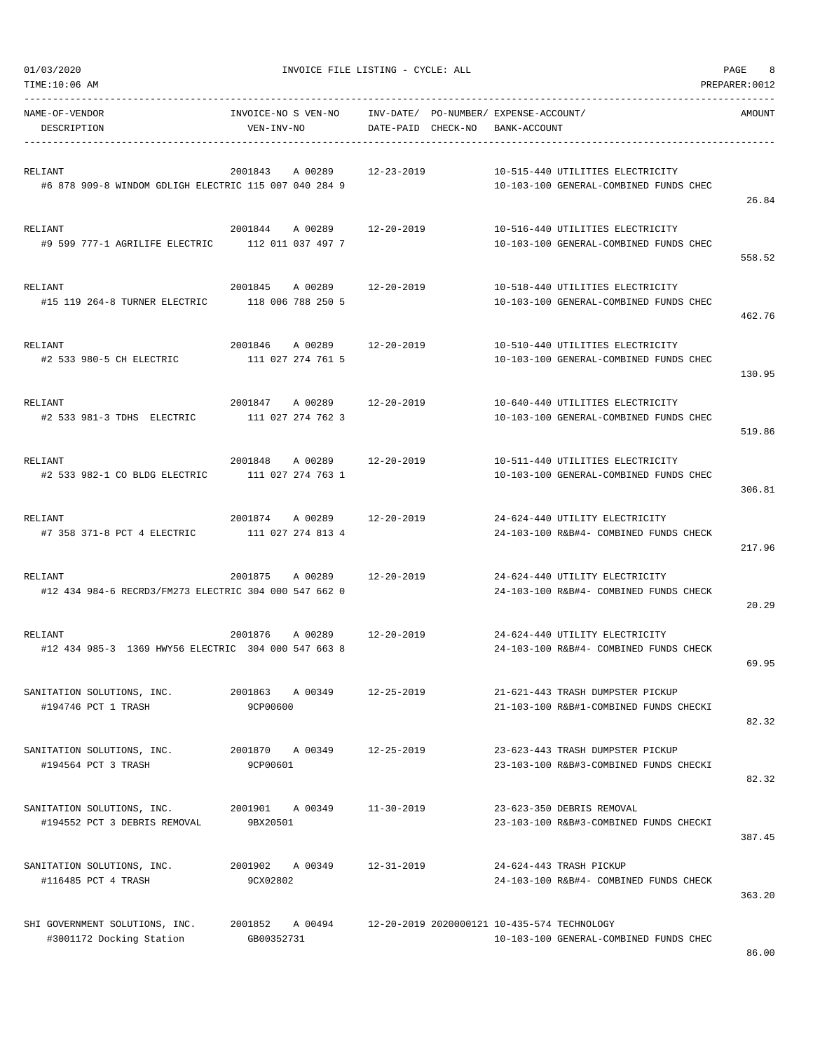| TIME:10:06 AM                                                    |                                         |                                    |                                                                                       | PREPARER: 0012 |
|------------------------------------------------------------------|-----------------------------------------|------------------------------------|---------------------------------------------------------------------------------------|----------------|
| NAME-OF-VENDOR<br>DESCRIPTION                                    | INVOICE-NO S VEN-NO<br>VEN-INV-NO       | INV-DATE/<br>DATE-PAID<br>CHECK-NO | PO-NUMBER/ EXPENSE-ACCOUNT/<br>BANK-ACCOUNT                                           | AMOUNT         |
| RELIANT<br>#6 878 909-8 WINDOM GDLIGH ELECTRIC 115 007 040 284 9 | 2001843<br>A 00289                      | $12 - 23 - 2019$                   | 10-515-440 UTILITIES ELECTRICITY<br>10-103-100 GENERAL-COMBINED FUNDS CHEC            | 26.84          |
| RELIANT<br>#9 599 777-1 AGRILIFE ELECTRIC                        | 2001844<br>A 00289<br>112 011 037 497 7 | 12-20-2019                         | 10-516-440 UTILITIES ELECTRICITY<br>10-103-100 GENERAL-COMBINED FUNDS CHEC            | 558.52         |
| RELIANT<br>#15 119 264-8 TURNER ELECTRIC                         | 2001845<br>A 00289<br>118 006 788 250 5 | 12-20-2019                         | 10-518-440 UTILITIES ELECTRICITY<br>10-103-100 GENERAL-COMBINED FUNDS CHEC            | 462.76         |
| RELIANT<br>#2 533 980-5 CH ELECTRIC                              | 2001846<br>A 00289<br>111 027 274 761 5 | $12 - 20 - 2019$                   | 10-510-440 UTILITIES ELECTRICITY<br>10-103-100 GENERAL-COMBINED FUNDS CHEC            | 130.95         |
| RELIANT<br>#2 533 981-3 TDHS ELECTRIC                            | 2001847 A 00289<br>111 027 274 762 3    | 12-20-2019                         | 10-640-440 UTILITIES ELECTRICITY<br>10-103-100 GENERAL-COMBINED FUNDS CHEC            | 519.86         |
| RELIANT<br>#2 533 982-1 CO BLDG ELECTRIC                         | 2001848<br>A 00289<br>111 027 274 763 1 | 12-20-2019                         | 10-511-440 UTILITIES ELECTRICITY<br>10-103-100 GENERAL-COMBINED FUNDS CHEC            | 306.81         |
| RELIANT<br>#7 358 371-8 PCT 4 ELECTRIC                           | 2001874<br>A 00289<br>111 027 274 813 4 | $12 - 20 - 2019$                   | 24-624-440 UTILITY ELECTRICITY<br>24-103-100 R&B#4- COMBINED FUNDS CHECK              | 217.96         |
| RELIANT<br>#12 434 984-6 RECRD3/FM273 ELECTRIC 304 000 547 662 0 | 2001875<br>A 00289                      | 12-20-2019                         | 24-624-440 UTILITY ELECTRICITY<br>24-103-100 R&B#4- COMBINED FUNDS CHECK              | 20.29          |
| RELIANT<br>#12 434 985-3 1369 HWY56 ELECTRIC 304 000 547 663 8   | 2001876<br>A 00289                      | 12-20-2019                         | 24-624-440 UTILITY ELECTRICITY<br>24-103-100 R&B#4- COMBINED FUNDS CHECK              | 69.95          |
| SANITATION SOLUTIONS, INC.<br>#194746 PCT 1 TRASH                | 2001863<br>A 00349<br>9CP00600          | $12 - 25 - 2019$                   | 21-621-443 TRASH DUMPSTER PICKUP<br>21-103-100 R&B#1-COMBINED FUNDS CHECKI            | 82.32          |
| SANITATION SOLUTIONS, INC.<br>#194564 PCT 3 TRASH                | A 00349<br>2001870<br>9CP00601          | $12 - 25 - 2019$                   | 23-623-443 TRASH DUMPSTER PICKUP<br>23-103-100 R&B#3-COMBINED FUNDS CHECKI            | 82.32          |
| SANITATION SOLUTIONS, INC.<br>#194552 PCT 3 DEBRIS REMOVAL       | 2001901 A 00349<br>9BX20501             | $11 - 30 - 2019$                   | 23-623-350 DEBRIS REMOVAL<br>23-103-100 R&B#3-COMBINED FUNDS CHECKI                   | 387.45         |
| SANITATION SOLUTIONS, INC.<br>#116485 PCT 4 TRASH                | 2001902<br>A 00349<br>9CX02802          | $12 - 31 - 2019$                   | 24-624-443 TRASH PICKUP<br>24-103-100 R&B#4- COMBINED FUNDS CHECK                     | 363.20         |
| SHI GOVERNMENT SOLUTIONS, INC.<br>#3001172 Docking Station       | 2001852<br>A 00494<br>GB00352731        |                                    | 12-20-2019 2020000121 10-435-574 TECHNOLOGY<br>10-103-100 GENERAL-COMBINED FUNDS CHEC |                |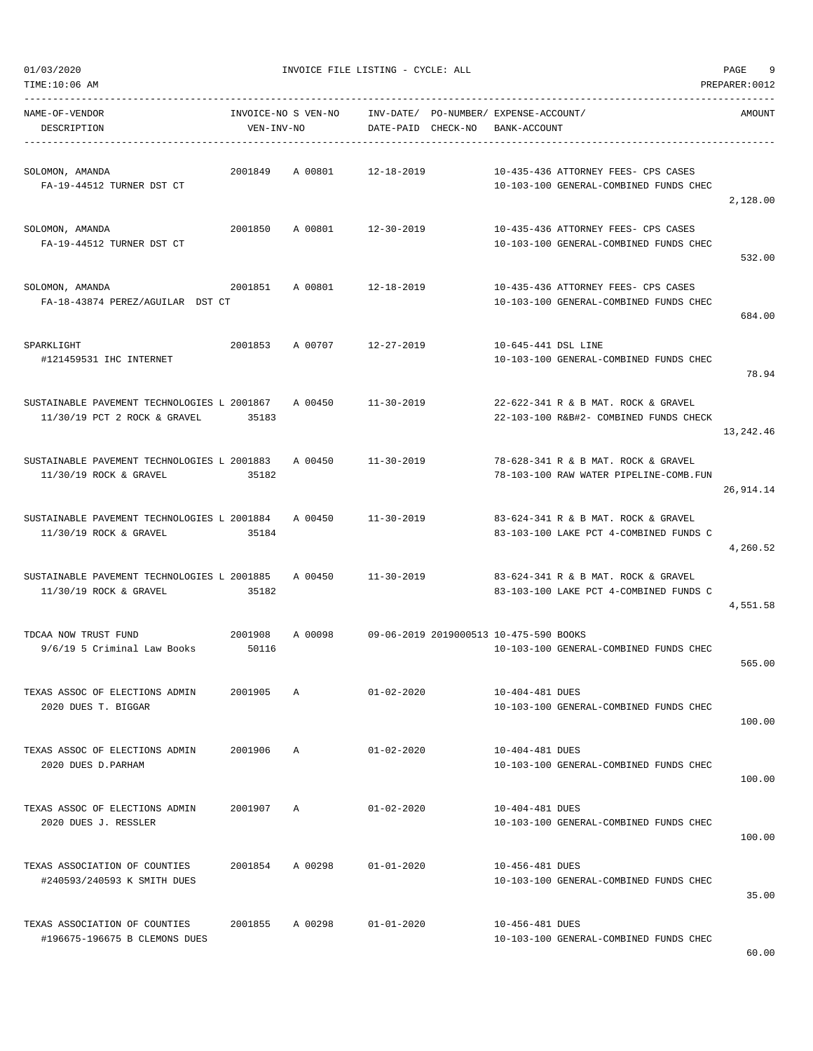| NAME-OF-VENDOR<br>DESCRIPTION                                                       | INVOICE-NO S VEN-NO<br>VEN-INV-NO |         | DATE-PAID CHECK-NO                             | INV-DATE/ PO-NUMBER/ EXPENSE-ACCOUNT/<br>BANK-ACCOUNT |                                                                               | AMOUNT    |
|-------------------------------------------------------------------------------------|-----------------------------------|---------|------------------------------------------------|-------------------------------------------------------|-------------------------------------------------------------------------------|-----------|
| SOLOMON, AMANDA<br>FA-19-44512 TURNER DST CT                                        | 2001849                           | A 00801 | 12-18-2019                                     |                                                       | 10-435-436 ATTORNEY FEES- CPS CASES<br>10-103-100 GENERAL-COMBINED FUNDS CHEC | 2,128.00  |
| SOLOMON, AMANDA<br>FA-19-44512 TURNER DST CT                                        | 2001850                           |         | A 00801 12-30-2019                             |                                                       | 10-435-436 ATTORNEY FEES- CPS CASES<br>10-103-100 GENERAL-COMBINED FUNDS CHEC | 532.00    |
| SOLOMON, AMANDA<br>FA-18-43874 PEREZ/AGUILAR DST CT                                 | 2001851                           | A 00801 | 12-18-2019                                     |                                                       | 10-435-436 ATTORNEY FEES- CPS CASES<br>10-103-100 GENERAL-COMBINED FUNDS CHEC | 684.00    |
| SPARKLIGHT<br>#121459531 IHC INTERNET                                               |                                   |         | 2001853 A 00707 12-27-2019                     | 10-645-441 DSL LINE                                   | 10-103-100 GENERAL-COMBINED FUNDS CHEC                                        | 78.94     |
| SUSTAINABLE PAVEMENT TECHNOLOGIES L 2001867 A 00450<br>11/30/19 PCT 2 ROCK & GRAVEL | 35183                             |         | $11 - 30 - 2019$                               |                                                       | 22-622-341 R & B MAT. ROCK & GRAVEL<br>22-103-100 R&B#2- COMBINED FUNDS CHECK | 13,242.46 |
| SUSTAINABLE PAVEMENT TECHNOLOGIES L 2001883<br>11/30/19 ROCK & GRAVEL               | 35182                             |         | A 00450 11-30-2019                             |                                                       | 78-628-341 R & B MAT. ROCK & GRAVEL<br>78-103-100 RAW WATER PIPELINE-COMB.FUN | 26,914.14 |
| SUSTAINABLE PAVEMENT TECHNOLOGIES L 2001884<br>11/30/19 ROCK & GRAVEL               | 35184                             | A 00450 | 11-30-2019                                     |                                                       | 83-624-341 R & B MAT. ROCK & GRAVEL<br>83-103-100 LAKE PCT 4-COMBINED FUNDS C | 4,260.52  |
| SUSTAINABLE PAVEMENT TECHNOLOGIES L 2001885<br>11/30/19 ROCK & GRAVEL               | 35182                             | A 00450 | 11-30-2019                                     |                                                       | 83-624-341 R & B MAT. ROCK & GRAVEL<br>83-103-100 LAKE PCT 4-COMBINED FUNDS C | 4,551.58  |
| TDCAA NOW TRUST FUND<br>9/6/19 5 Criminal Law Books                                 | 2001908<br>50116                  |         | A 00098 09-06-2019 2019000513 10-475-590 BOOKS |                                                       | 10-103-100 GENERAL-COMBINED FUNDS CHEC                                        | 565.00    |
| TEXAS ASSOC OF ELECTIONS ADMIN<br>2020 DUES T. BIGGAR                               | 2001905                           | А       | $01 - 02 - 2020$                               | 10-404-481 DUES                                       | 10-103-100 GENERAL-COMBINED FUNDS CHEC                                        | 100.00    |
| TEXAS ASSOC OF ELECTIONS ADMIN<br>2020 DUES D. PARHAM                               | 2001906                           | Α       | $01 - 02 - 2020$                               | 10-404-481 DUES                                       | 10-103-100 GENERAL-COMBINED FUNDS CHEC                                        | 100.00    |
| TEXAS ASSOC OF ELECTIONS ADMIN<br>2020 DUES J. RESSLER                              | 2001907                           | Α       | $01 - 02 - 2020$                               | 10-404-481 DUES                                       | 10-103-100 GENERAL-COMBINED FUNDS CHEC                                        | 100.00    |
| TEXAS ASSOCIATION OF COUNTIES<br>#240593/240593 K SMITH DUES                        | 2001854                           | A 00298 | $01 - 01 - 2020$                               | 10-456-481 DUES                                       | 10-103-100 GENERAL-COMBINED FUNDS CHEC                                        | 35.00     |
| TEXAS ASSOCIATION OF COUNTIES<br>#196675-196675 B CLEMONS DUES                      | 2001855                           | A 00298 | $01 - 01 - 2020$                               | 10-456-481 DUES                                       | 10-103-100 GENERAL-COMBINED FUNDS CHEC                                        |           |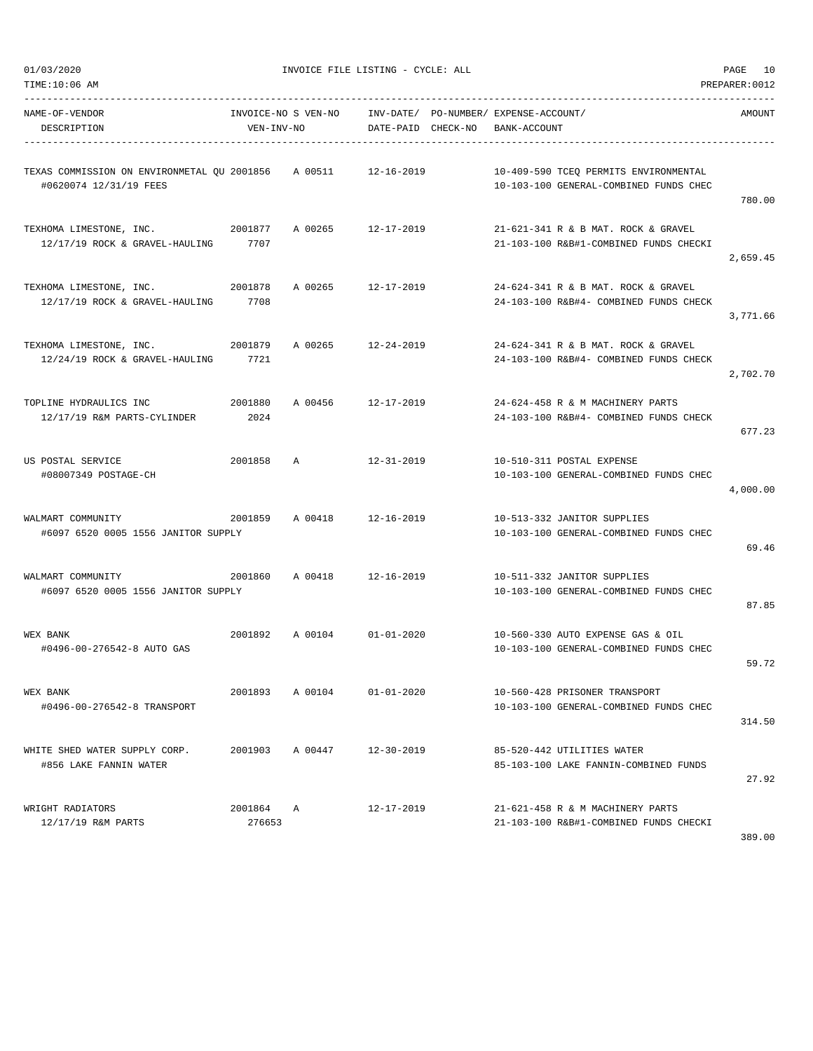| TIME:10:06 AM                                                                                      |                   |                            |                  |                                                                                              | PREPARER: 0012 |
|----------------------------------------------------------------------------------------------------|-------------------|----------------------------|------------------|----------------------------------------------------------------------------------------------|----------------|
| NAME-OF-VENDOR<br>DESCRIPTION                                                                      | VEN-INV-NO        |                            |                  | INVOICE-NO S VEN-NO INV-DATE/ PO-NUMBER/ EXPENSE-ACCOUNT/<br>DATE-PAID CHECK-NO BANK-ACCOUNT | AMOUNT         |
| TEXAS COMMISSION ON ENVIRONMETAL QU 2001856     A 00511       12-16-2019<br>#0620074 12/31/19 FEES |                   |                            |                  | 10-409-590 TCEQ PERMITS ENVIRONMENTAL<br>10-103-100 GENERAL-COMBINED FUNDS CHEC              | 780.00         |
| TEXHOMA LIMESTONE, INC. 2001877 A 00265 12-17-2019<br>12/17/19 ROCK & GRAVEL-HAULING 7707          |                   |                            |                  | 21-621-341 R & B MAT. ROCK & GRAVEL<br>21-103-100 R&B#1-COMBINED FUNDS CHECKI                | 2,659.45       |
| TEXHOMA LIMESTONE, INC.<br>12/17/19 ROCK & GRAVEL-HAULING                                          | 2001878<br>7708   | A 00265 12-17-2019         |                  | 24-624-341 R & B MAT. ROCK & GRAVEL<br>24-103-100 R&B#4- COMBINED FUNDS CHECK                | 3,771.66       |
| TEXHOMA LIMESTONE, INC.<br>12/24/19 ROCK & GRAVEL-HAULING                                          | 2001879<br>7721   | A 00265 12-24-2019         |                  | 24-624-341 R & B MAT. ROCK & GRAVEL<br>24-103-100 R&B#4- COMBINED FUNDS CHECK                | 2,702.70       |
| TOPLINE HYDRAULICS INC<br>2001880<br>12/17/19 R&M PARTS-CYLINDER                                   | 2024              | A 00456 12-17-2019         |                  | 24-624-458 R & M MACHINERY PARTS<br>24-103-100 R&B#4- COMBINED FUNDS CHECK                   | 677.23         |
| US POSTAL SERVICE<br>#08007349 POSTAGE-CH                                                          | 2001858 A         |                            | 12-31-2019       | 10-510-311 POSTAL EXPENSE<br>10-103-100 GENERAL-COMBINED FUNDS CHEC                          | 4,000.00       |
| WALMART COMMUNITY<br>#6097 6520 0005 1556 JANITOR SUPPLY                                           |                   | 2001859 A 00418 12-16-2019 |                  | 10-513-332 JANITOR SUPPLIES<br>10-103-100 GENERAL-COMBINED FUNDS CHEC                        | 69.46          |
| WALMART COMMUNITY<br>2001860<br>#6097 6520 0005 1556 JANITOR SUPPLY                                |                   | A 00418 12-16-2019         |                  | 10-511-332 JANITOR SUPPLIES<br>10-103-100 GENERAL-COMBINED FUNDS CHEC                        | 87.85          |
| WEX BANK<br>#0496-00-276542-8 AUTO GAS                                                             |                   | 2001892 A 00104 01-01-2020 |                  | 10-560-330 AUTO EXPENSE GAS & OIL<br>10-103-100 GENERAL-COMBINED FUNDS CHEC                  | 59.72          |
| WEX BANK<br>#0496-00-276542-8 TRANSPORT                                                            | 2001893           | A 00104                    | $01 - 01 - 2020$ | 10-560-428 PRISONER TRANSPORT<br>10-103-100 GENERAL-COMBINED FUNDS CHEC                      | 314.50         |
| WHITE SHED WATER SUPPLY CORP.<br>#856 LAKE FANNIN WATER                                            |                   | 2001903 A 00447            | 12-30-2019       | 85-520-442 UTILITIES WATER<br>85-103-100 LAKE FANNIN-COMBINED FUNDS                          | 27.92          |
| WRIGHT RADIATORS<br>12/17/19 R&M PARTS                                                             | 2001864<br>276653 | Α                          | $12 - 17 - 2019$ | 21-621-458 R & M MACHINERY PARTS<br>21-103-100 R&B#1-COMBINED FUNDS CHECKI                   |                |